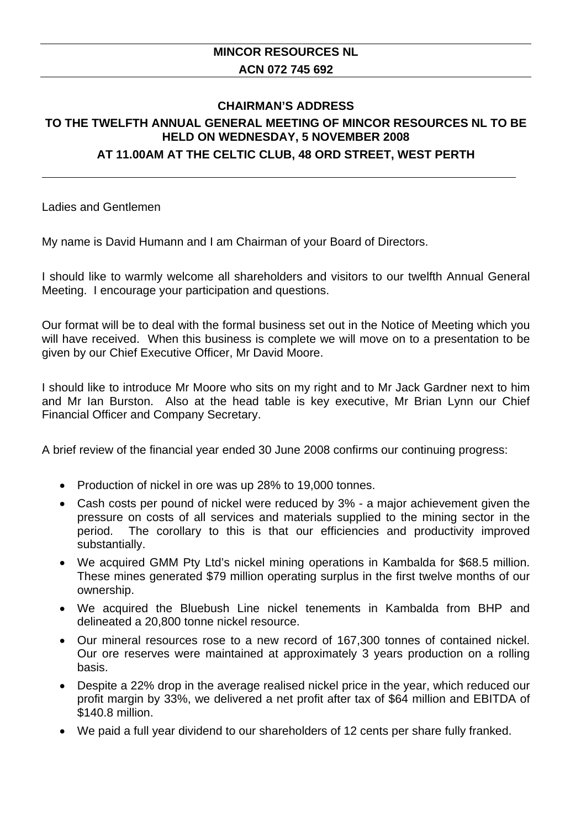## **MINCOR RESOURCES NL ACN 072 745 692**

## **CHAIRMAN'S ADDRESS TO THE TWELFTH ANNUAL GENERAL MEETING OF MINCOR RESOURCES NL TO BE HELD ON WEDNESDAY, 5 NOVEMBER 2008**

## **AT 11.00AM AT THE CELTIC CLUB, 48 ORD STREET, WEST PERTH**

Ladies and Gentlemen

My name is David Humann and I am Chairman of your Board of Directors.

I should like to warmly welcome all shareholders and visitors to our twelfth Annual General Meeting. I encourage your participation and questions.

Our format will be to deal with the formal business set out in the Notice of Meeting which you will have received. When this business is complete we will move on to a presentation to be given by our Chief Executive Officer, Mr David Moore.

I should like to introduce Mr Moore who sits on my right and to Mr Jack Gardner next to him and Mr Ian Burston. Also at the head table is key executive, Mr Brian Lynn our Chief Financial Officer and Company Secretary.

A brief review of the financial year ended 30 June 2008 confirms our continuing progress:

- Production of nickel in ore was up 28% to 19,000 tonnes.
- Cash costs per pound of nickel were reduced by 3% a major achievement given the pressure on costs of all services and materials supplied to the mining sector in the period. The corollary to this is that our efficiencies and productivity improved substantially.
- We acquired GMM Pty Ltd's nickel mining operations in Kambalda for \$68.5 million. These mines generated \$79 million operating surplus in the first twelve months of our ownership.
- We acquired the Bluebush Line nickel tenements in Kambalda from BHP and delineated a 20,800 tonne nickel resource.
- Our mineral resources rose to a new record of 167,300 tonnes of contained nickel. Our ore reserves were maintained at approximately 3 years production on a rolling basis.
- Despite a 22% drop in the average realised nickel price in the year, which reduced our profit margin by 33%, we delivered a net profit after tax of \$64 million and EBITDA of \$140.8 million.
- We paid a full year dividend to our shareholders of 12 cents per share fully franked.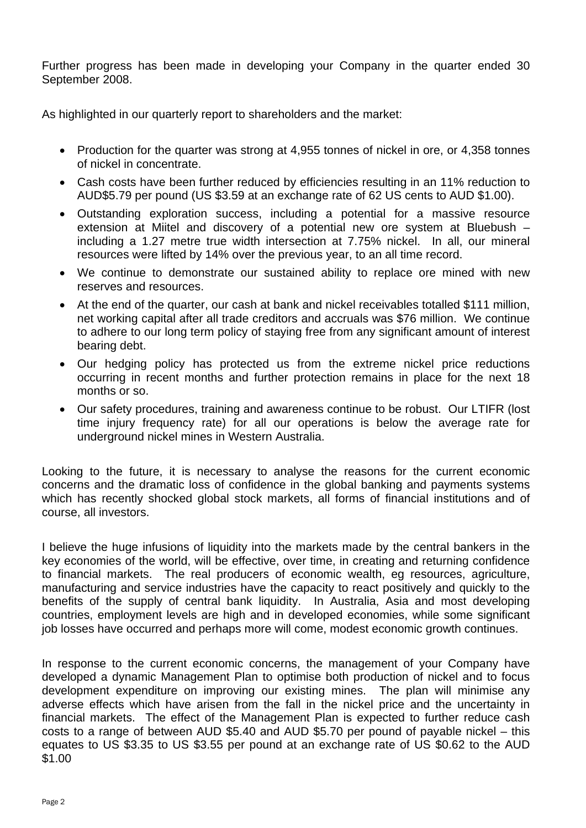Further progress has been made in developing your Company in the quarter ended 30 September 2008.

As highlighted in our quarterly report to shareholders and the market:

- Production for the quarter was strong at 4,955 tonnes of nickel in ore, or 4,358 tonnes of nickel in concentrate.
- Cash costs have been further reduced by efficiencies resulting in an 11% reduction to AUD\$5.79 per pound (US \$3.59 at an exchange rate of 62 US cents to AUD \$1.00).
- Outstanding exploration success, including a potential for a massive resource extension at Miitel and discovery of a potential new ore system at Bluebush – including a 1.27 metre true width intersection at 7.75% nickel. In all, our mineral resources were lifted by 14% over the previous year, to an all time record.
- We continue to demonstrate our sustained ability to replace ore mined with new reserves and resources.
- At the end of the quarter, our cash at bank and nickel receivables totalled \$111 million, net working capital after all trade creditors and accruals was \$76 million. We continue to adhere to our long term policy of staying free from any significant amount of interest bearing debt.
- Our hedging policy has protected us from the extreme nickel price reductions occurring in recent months and further protection remains in place for the next 18 months or so.
- Our safety procedures, training and awareness continue to be robust. Our LTIFR (lost time injury frequency rate) for all our operations is below the average rate for underground nickel mines in Western Australia.

Looking to the future, it is necessary to analyse the reasons for the current economic concerns and the dramatic loss of confidence in the global banking and payments systems which has recently shocked global stock markets, all forms of financial institutions and of course, all investors.

I believe the huge infusions of liquidity into the markets made by the central bankers in the key economies of the world, will be effective, over time, in creating and returning confidence to financial markets. The real producers of economic wealth, eg resources, agriculture, manufacturing and service industries have the capacity to react positively and quickly to the benefits of the supply of central bank liquidity. In Australia, Asia and most developing countries, employment levels are high and in developed economies, while some significant job losses have occurred and perhaps more will come, modest economic growth continues.

In response to the current economic concerns, the management of your Company have developed a dynamic Management Plan to optimise both production of nickel and to focus development expenditure on improving our existing mines. The plan will minimise any adverse effects which have arisen from the fall in the nickel price and the uncertainty in financial markets. The effect of the Management Plan is expected to further reduce cash costs to a range of between AUD \$5.40 and AUD \$5.70 per pound of payable nickel – this equates to US \$3.35 to US \$3.55 per pound at an exchange rate of US \$0.62 to the AUD \$1.00